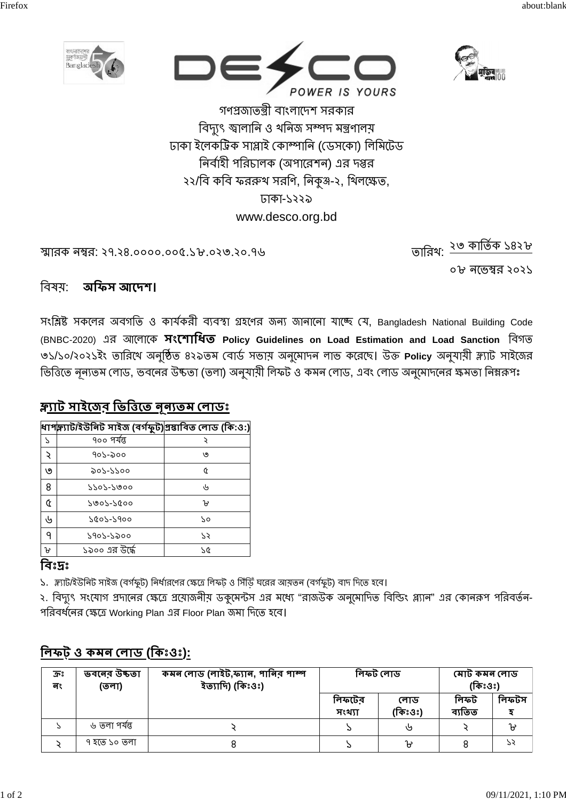





গণপ্রজাতন্ত্রী বাংলাদেশ সরকার বিদ্যুৎ জ্বালানি ও থনিজ সম্পদ মন্ত্ৰণালয় ঢাকা ইলেকট্ৰিক সাপ্লাই কোম্পানি (ডেসকো) লিমিটেড নির্বাহী পরিচালক (অপারেশন) এর দপ্তর ২২/বি কবি ফররুথ সরণি, নিকৃঞ্জ-২, থিলক্ষেত, ঢাকা-১২২৯ www.desco.org.bd

স্মারক নম্বর: ২৭.২৪.০০০০.০০৫.১৮.০২৩.২০.৭৬

তারিখ: <u>২৩ কার্তিক ১৪২</u>৮

০৮ নভেম্বর ২০২১

#### বিষয: অফিস আদেশ।

সংশ্লিষ্ট সকলের অবগতি ও কার্যকরী ব্যবস্থা গ্রহণের জন্য জানানো যাচ্ছে যে, Bangladesh National Building Code (BNBC-2020) এর আলোকে সংশোধিত Policy Guidelines on Load Estimation and Load Sanction বিগত ৩১/১০/২০২১ইং তারিখে অনুষ্ঠিত ৪২৯তম বোর্ড সভায় অনুমোদন লাভ করেছে। উক্ত Policy অনুযায়ী স্ল্যাট সাইজের ভিত্তিতে নূন্যতম লোড, ভবনের উষ্কতা (তলা) অনুযায়ী লিফট ও কমন লোড, এবং লোড অনুমোদনের ক্ষমতা নিম্নরূপঃ

# <u>ক্ল্যাট সাইজের ভিত্তিতে নূন্যতম লোডঃ</u>

|    | ধাপক্ল্যাট/ইউনিট সাইজ (বৰ্গফুট) প্ৰস্তাবিত লোড (কি:ও:) |    |
|----|--------------------------------------------------------|----|
| ς  | ৭০০ পর্যন্ত                                            |    |
| ç  | ৭০১-৯০০                                                | ৩  |
| ৩  | ৯০১-১১০০                                               | Q  |
| 8  | $5505 - 5000$                                          | رل |
| Q  | $5005 - 5000$                                          | ᡉ  |
| رل | 7007-7900                                              | 70 |
| ٩  | ১৭০১-১৯০০                                              | 75 |
| ิษ | ১৯০০ এর উর্দ্ধে                                        | 75 |

## বিঃদ্রঃ

১. স্ল্যাট/ইউনিট সাইজ (বর্গফুট) নির্ধারণের ক্ষেত্রে লিফট় ও সিঁডিঁ ঘরের আয়তন (বর্গফুট) বাদ দিতে হবে।

২. বিদ্যুৎ সংযোগ প্রদানের ক্ষেত্রে প্রয়োজনীয় ডকুমেন্টস এর মধ্যে "রাজউক অনুমোদিত বিল্ডিং প্ল্যান" এর কোনরূপ পরিবর্তন-পরিবর্ধনের ক্ষেত্রে Working Plan এর Floor Plan জমা দিতে হবে।

| ភ្នះ<br>লং | ভবনের উচ্চতা<br>(তলা) | কমন লোড (লাইট,ফ্যান, পানিব পাম্প<br>ইত্যাদি) (কিঃওঃ) | লিফট লোড         |                | মোট কমন লোড<br>(কিঃওঃ) |       |
|------------|-----------------------|------------------------------------------------------|------------------|----------------|------------------------|-------|
|            |                       |                                                      | লিফটের<br>সংখ্যা | লোড<br>(কিঃওঃ) | লিফট<br>ব্যতিত         | লিফটস |
|            | ৬ তলা পর্যন্ত         |                                                      |                  | ৬              |                        | Ⴆ     |
|            | ৭ হতে ১০ তলা          |                                                      |                  | ษ              |                        | 73    |

# লিফট ও কমন লোড (কিঃওঃ):